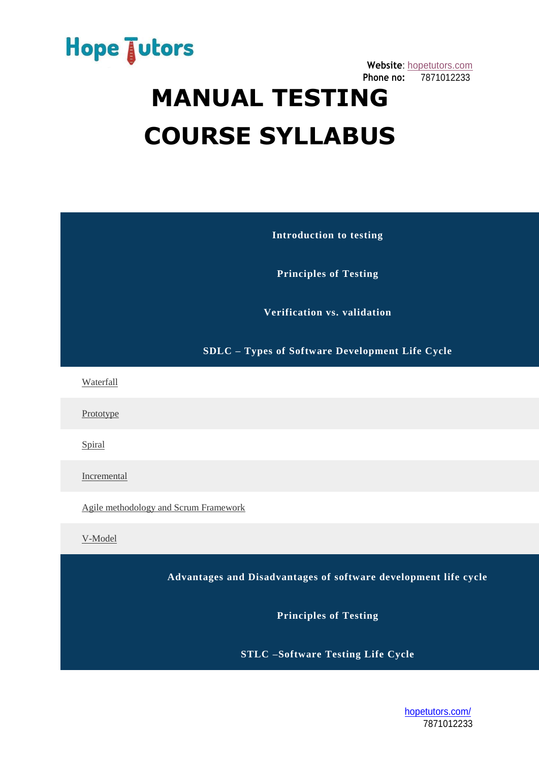

## **MANUAL TESTING COURSE SYLLABUS**

**Introduction to testing**

**Principles of Testing**

**Verification vs. validation**

**SDLC – Types of Software Development Life Cycle**

[Waterfall](javascript:;)

[Prototype](javascript:;)

**[Spiral](javascript:;)** 

[Incremental](javascript:;)

[Agile methodology and Scrum Framework](javascript:;)

[V-Model](javascript:;)

**Advantages and Disadvantages of software development life cycle**

**Principles of Testing**

**STLC –Software Testing Life Cycle**

[hopetutors.com/](https://www.hopetutors.com/) 7871012233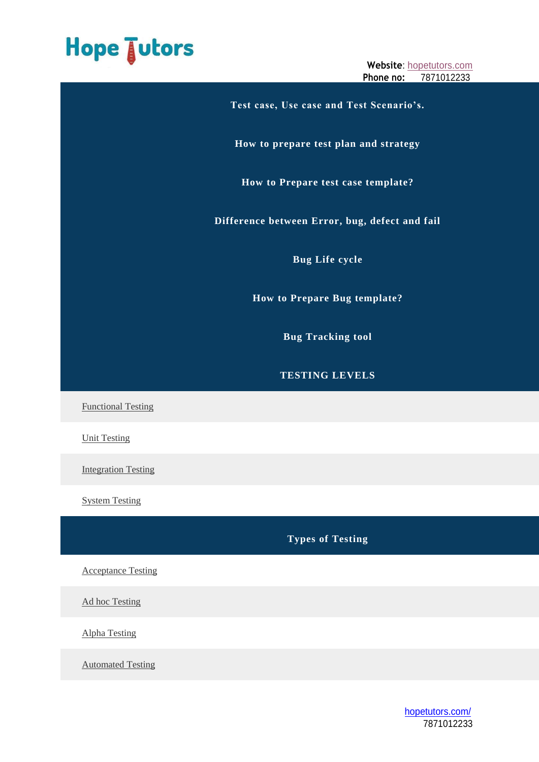## Hope Jutors

**Website**: [hopetutors.com](https://www.hopetutors.com/) **Phone no:** 7871012233

**Test case, Use case and Test Scenario's. How to prepare test plan and strategy How to Prepare test case template? Difference between Error, bug, defect and fail Bug Life cycle How to Prepare Bug template? Bug Tracking tool TESTING LEVELS** [Functional Testing](javascript:;) [Unit Testing](javascript:;) [Integration Testing](javascript:;)

[System Testing](javascript:;)

**Types of Testing**

[Acceptance Testing](javascript:;)

[Ad hoc Testing](javascript:;)

[Alpha Testing](javascript:;)

[Automated Testing](javascript:;)

[hopetutors.com/](https://www.hopetutors.com/) 7871012233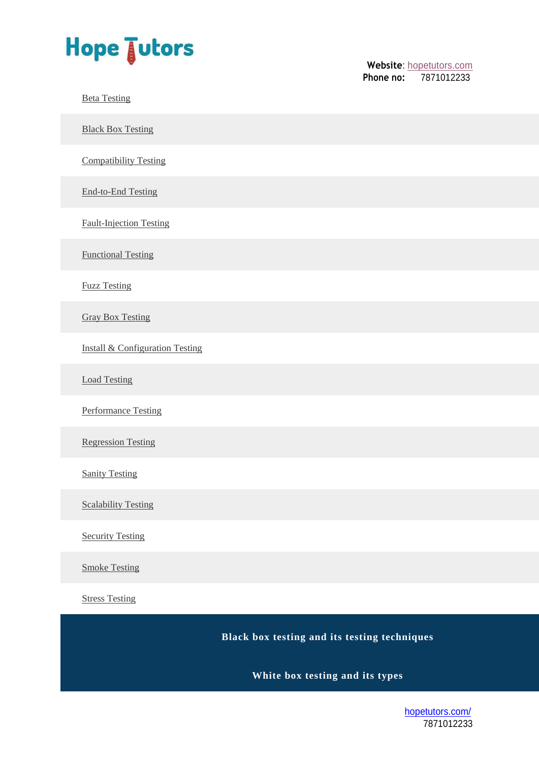

Website: [hopetutors.com](https://www.hopetutors.com/)<br>**Phone no:** 7871012233 **Phone no:** 7871012233

[Beta Testing](javascript:;)

**[Black Box Testing](javascript:;)** 

[Compatibility Testing](javascript:;)

[End-to-End Testing](javascript:;)

[Fault-Injection Testing](javascript:;)

[Functional Testing](javascript:;)

[Fuzz Testing](javascript:;)

[Gray Box Testing](javascript:;)

[Install & Configuration Testing](javascript:;)

[Load Testing](javascript:;)

[Performance Testing](javascript:;)

[Regression Testing](javascript:;)

[Sanity Testing](javascript:;)

[Scalability Testing](javascript:;)

**[Security Testing](javascript:;)** 

[Smoke Testing](javascript:;)

[Stress Testing](javascript:;)

**Black box testing and its testing techniques**

**White box testing and its types**